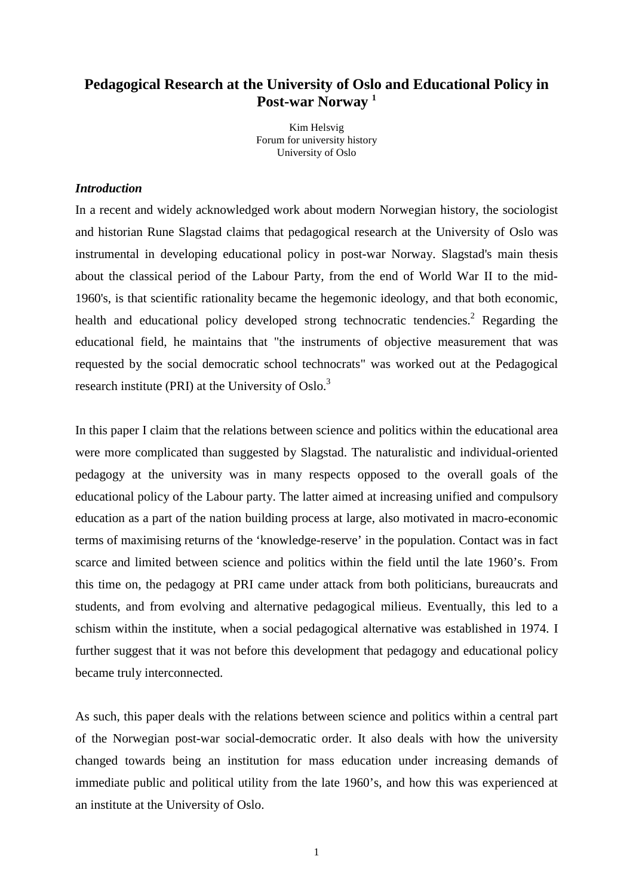## **Pedagogical Research at the University of Os[lo](#page-13-0) and Educational Policy in Post-war Norway 1**

Kim Helsvig Forum for university history University of Oslo

#### *Introduction*

In a recent and widely acknowledged work about modern Norwegian history, the sociologist and historian Rune Slagstad claims that pedagogical research at the University of Oslo was instrumental in developing educational policy in post-war Norway. Slagstad's main thesis about the classical period of the Labour Party, from the end of World War II to the mid-1960's, is that scientific rationality became the hegemonic ideology, and that both economic, health and educational policy developed strong technocratic tendencies.<sup>2</sup> Regarding the educational field, he maintains that "the instruments of objective measurement that was requested by the social democratic school technocrats" was worked out at the Pedagogical research institute (PRI) at the University of Oslo.<sup>[3](#page-13-0)</sup>

In this paper I claim that the relations between science and politics within the educational area were more complicated than suggested by Slagstad. The naturalistic and individual-oriented pedagogy at the university was in many respects opposed to the overall goals of the educational policy of the Labour party. The latter aimed at increasing unified and compulsory education as a part of the nation building process at large, also motivated in macro-economic terms of maximising returns of the 'knowledge-reserve' in the population. Contact was in fact scarce and limited between science and politics within the field until the late 1960's. From this time on, the pedagogy at PRI came under attack from both politicians, bureaucrats and students, and from evolving and alternative pedagogical milieus. Eventually, this led to a schism within the institute, when a social pedagogical alternative was established in 1974. I further suggest that it was not before this development that pedagogy and educational policy became truly interconnected.

As such, this paper deals with the relations between science and politics within a central part of the Norwegian post-war social-democratic order. It also deals with how the university changed towards being an institution for mass education under increasing demands of immediate public and political utility from the late 1960's, and how this was experienced at an institute at the University of Oslo.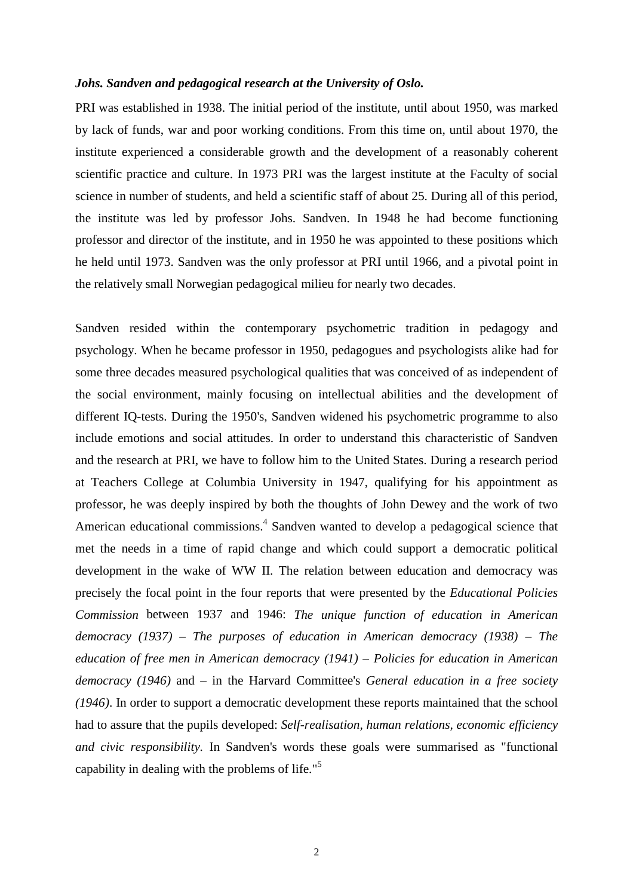#### *Johs. Sandven and pedagogical research at the University of Oslo.*

PRI was established in 1938. The initial period of the institute, until about 1950, was marked by lack of funds, war and poor working conditions. From this time on, until about 1970, the institute experienced a considerable growth and the development of a reasonably coherent scientific practice and culture. In 1973 PRI was the largest institute at the Faculty of social science in number of students, and held a scientific staff of about 25. During all of this period, the institute was led by professor Johs. Sandven. In 1948 he had become functioning professor and director of the institute, and in 1950 he was appointed to these positions which he held until 1973. Sandven was the only professor at PRI until 1966, and a pivotal point in the relatively small Norwegian pedagogical milieu for nearly two decades.

Sandven resided within the contemporary psychometric tradition in pedagogy and psychology. When he became professor in 1950, pedagogues and psychologists alike had for some three decades measured psychological qualities that was conceived of as independent of the social environment, mainly focusing on intellectual abilities and the development of different IQ-tests. During the 1950's, Sandven widened his psychometric programme to also include emotions and social attitudes. In order to understand this characteristic of Sandven and the research at PRI, we have to follow him to the United States. During a research period at Teachers College at Columbia University in 1947, qualifying for his appointment as professor, he was deeply inspired by both the thoughts of John Dewey and the work of two American educational commissions.<sup>4</sup> Sandven wanted to develop a pedagogical science that met the needs in a time of rapid change and which could support a democratic political development in the wake of WW II. The relation between education and democracy was precisely the focal point in the four reports that were presented by the *Educational Policies Commission* between 1937 and 1946: *The unique function of education in American democracy (1937) – The purposes of education in American democracy (1938) – The education of free men in American democracy (1941) – Policies for education in American democracy (1946)* and *–* in the Harvard Committee's *General education in a free society (1946)*. In order to support a democratic development these reports maintained that the school had to assure that the pupils developed: *Self-realisation, human relations, economic efficiency and civic responsibility.* In Sandven's words these goals were summarised as "functional capability in dealing with the problems of life."[5](#page-13-0)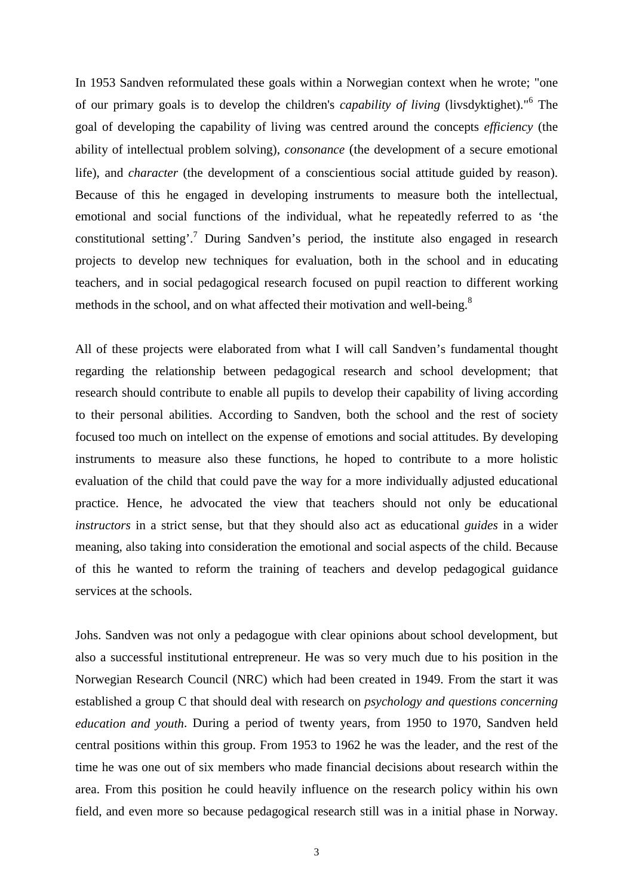In 1953 Sandven reformulated these goals within a Norwegian context when he wrote; "one of our primary goals is to develop the children's *capability of living* (livsdyktighet)."[6](#page-13-0) The goal of developing the capability of living was centred around the concepts *efficiency* (the ability of intellectual problem solving), *consonance* (the development of a secure emotional life), and *character* (the development of a conscientious social attitude guided by reason). Because of this he engaged in developing instruments to measure both the intellectual, emotional and social functions of the individual, what he repeatedly referred to as 'the constitutional setting'.<sup>7</sup> During Sandven's period, the institute also engaged in research projects to develop new techniques for evaluation, both in the school and in educating teachers, and in social pedagogical research focused on pupil reaction to different working methods in the school, and on what affected their motivation and well-being.<sup>[8](#page-13-0)</sup>

All of these projects were elaborated from what I will call Sandven's fundamental thought regarding the relationship between pedagogical research and school development; that research should contribute to enable all pupils to develop their capability of living according to their personal abilities. According to Sandven, both the school and the rest of society focused too much on intellect on the expense of emotions and social attitudes. By developing instruments to measure also these functions, he hoped to contribute to a more holistic evaluation of the child that could pave the way for a more individually adjusted educational practice. Hence, he advocated the view that teachers should not only be educational *instructors* in a strict sense, but that they should also act as educational *guides* in a wider meaning, also taking into consideration the emotional and social aspects of the child. Because of this he wanted to reform the training of teachers and develop pedagogical guidance services at the schools.

Johs. Sandven was not only a pedagogue with clear opinions about school development, but also a successful institutional entrepreneur. He was so very much due to his position in the Norwegian Research Council (NRC) which had been created in 1949. From the start it was established a group C that should deal with research on *psychology and questions concerning education and youth*. During a period of twenty years, from 1950 to 1970, Sandven held central positions within this group. From 1953 to 1962 he was the leader, and the rest of the time he was one out of six members who made financial decisions about research within the area. From this position he could heavily influence on the research policy within his own field, and even more so because pedagogical research still was in a initial phase in Norway.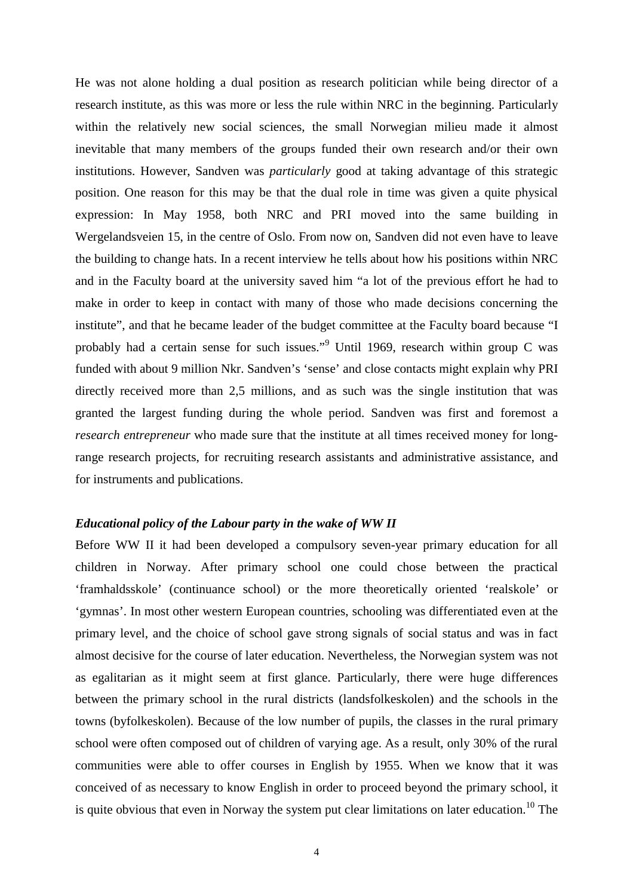He was not alone holding a dual position as research politician while being director of a research institute, as this was more or less the rule within NRC in the beginning. Particularly within the relatively new social sciences, the small Norwegian milieu made it almost inevitable that many members of the groups funded their own research and/or their own institutions. However, Sandven was *particularly* good at taking advantage of this strategic position. One reason for this may be that the dual role in time was given a quite physical expression: In May 1958, both NRC and PRI moved into the same building in Wergelandsveien 15, in the centre of Oslo. From now on, Sandven did not even have to leave the building to change hats. In a recent interview he tells about how his positions within NRC and in the Faculty board at the university saved him "a lot of the previous effort he had to make in order to keep in contact with many of those who made decisions concerning the institute", and that he became leader of the budget committee at the Faculty board because "I probably had a certain sense for such issues."<sup>[9](#page-13-0)</sup> Until 1969, research within group C was funded with about 9 million Nkr. Sandven's 'sense' and close contacts might explain why PRI directly received more than 2,5 millions, and as such was the single institution that was granted the largest funding during the whole period. Sandven was first and foremost a *research entrepreneur* who made sure that the institute at all times received money for longrange research projects, for recruiting research assistants and administrative assistance, and for instruments and publications.

### *Educational policy of the Labour party in the wake of WW II*

Before WW II it had been developed a compulsory seven-year primary education for all children in Norway. After primary school one could chose between the practical 'framhaldsskole' (continuance school) or the more theoretically oriented 'realskole' or 'gymnas'. In most other western European countries, schooling was differentiated even at the primary level, and the choice of school gave strong signals of social status and was in fact almost decisive for the course of later education. Nevertheless, the Norwegian system was not as egalitarian as it might seem at first glance. Particularly, there were huge differences between the primary school in the rural districts (landsfolkeskolen) and the schools in the towns (byfolkeskolen). Because of the low number of pupils, the classes in the rural primary school were often composed out of children of varying age. As a result, only 30% of the rural communities were able to offer courses in English by 1955. When we know that it was conceived of as necessary to know English in order to proceed beyond the primary school, it is quite obvious that even in Norway the system put clear limitations on later education.<sup>10</sup> The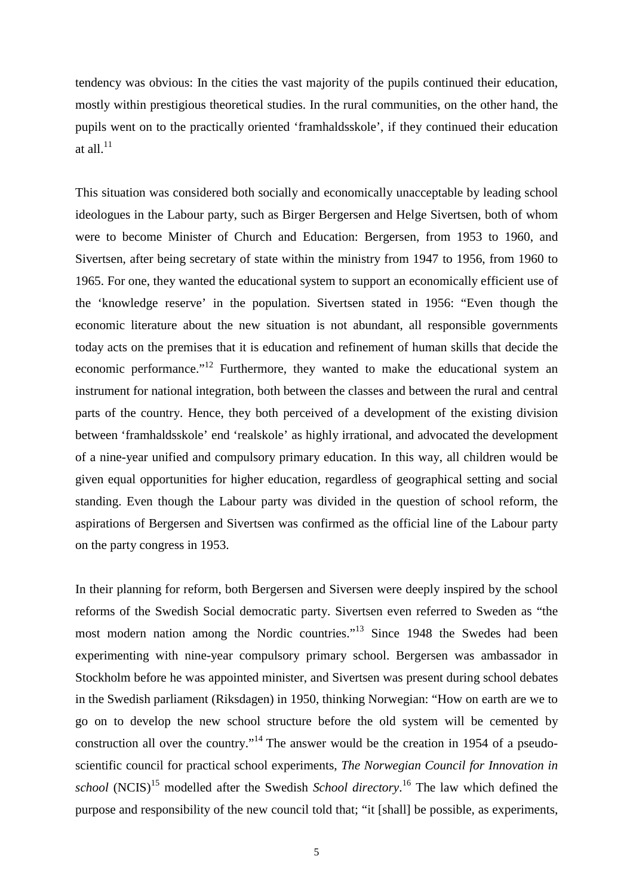tendency was obvious: In the cities the vast majority of the pupils continued their education, mostly within prestigious theoretical studies. In the rural communities, on the other hand, the pupils went on to the practically oriented 'framhaldsskole', if they continued their education at all $^{11}$  $^{11}$  $^{11}$ 

This situation was considered both socially and economically unacceptable by leading school ideologues in the Labour party, such as Birger Bergersen and Helge Sivertsen, both of whom were to become Minister of Church and Education: Bergersen, from 1953 to 1960, and Sivertsen, after being secretary of state within the ministry from 1947 to 1956, from 1960 to 1965. For one, they wanted the educational system to support an economically efficient use of the 'knowledge reserve' in the population. Sivertsen stated in 1956: "Even though the economic literature about the new situation is not abundant, all responsible governments today acts on the premises that it is education and refinement of human skills that decide the economic performance."<sup>12</sup> Furthermore, they wanted to make the educational system an instrument for national integration, both between the classes and between the rural and central parts of the country. Hence, they both perceived of a development of the existing division between 'framhaldsskole' end 'realskole' as highly irrational, and advocated the development of a nine-year unified and compulsory primary education. In this way, all children would be given equal opportunities for higher education, regardless of geographical setting and social standing. Even though the Labour party was divided in the question of school reform, the aspirations of Bergersen and Sivertsen was confirmed as the official line of the Labour party on the party congress in 1953.

In their planning for reform, both Bergersen and Siversen were deeply inspired by the school reforms of the Swedish Social democratic party. Sivertsen even referred to Sweden as "the most modern nation among the Nordic countries."<sup>13</sup> Since 1948 the Swedes had been experimenting with nine-year compulsory primary school. Bergersen was ambassador in Stockholm before he was appointed minister, and Sivertsen was present during school debates in the Swedish parliament (Riksdagen) in 1950, thinking Norwegian: "How on earth are we to go on to develop the new school structure before the old system will be cemented by construction all over the country."<sup>14</sup> The answer would be the creation in 1954 of a pseudoscientific council for practical school experiments, *The Norwegian Council for Innovation in* school (NCIS)<sup>15</sup> modelled after the Swedish *School directory*.<sup>[16](#page-13-0)</sup> The law which defined the purpose and responsibility of the new council told that; "it [shall] be possible, as experiments,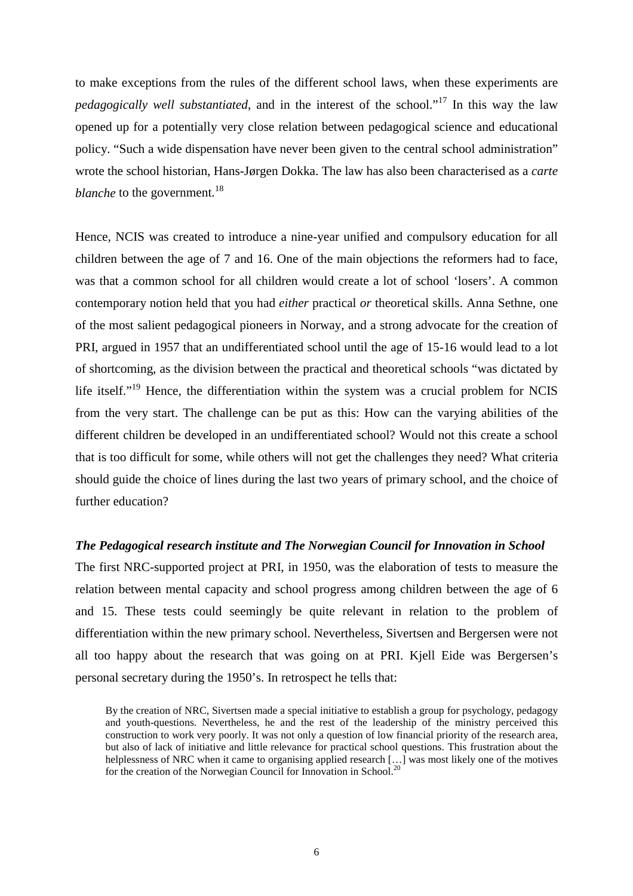to make exceptions from the rules of the different school laws, when these experiments are *pedagogically well substantiated*, and in the interest of the school."[17](#page-13-0) In this way the law opened up for a potentially very close relation between pedagogical science and educational policy. "Such a wide dispensation have never been given to the central school administration" wrote the school historian, Hans-Jørgen Dokka. The law has also been characterised as a *carte blanche* to the government.<sup>[18](#page-13-0)</sup>

Hence, NCIS was created to introduce a nine-year unified and compulsory education for all children between the age of 7 and 16. One of the main objections the reformers had to face, was that a common school for all children would create a lot of school 'losers'. A common contemporary notion held that you had *either* practical *or* theoretical skills. Anna Sethne, one of the most salient pedagogical pioneers in Norway, and a strong advocate for the creation of PRI, argued in 1957 that an undifferentiated school until the age of 15-16 would lead to a lot of shortcoming, as the division between the practical and theoretical schools "was dictated by life itself."<sup>19</sup> Hence, the differentiation within the system was a crucial problem for NCIS from the very start. The challenge can be put as this: How can the varying abilities of the different children be developed in an undifferentiated school? Would not this create a school that is too difficult for some, while others will not get the challenges they need? What criteria should guide the choice of lines during the last two years of primary school, and the choice of further education?

## *The Pedagogical research institute and The Norwegian Council for Innovation in School*

The first NRC-supported project at PRI, in 1950, was the elaboration of tests to measure the relation between mental capacity and school progress among children between the age of 6 and 15. These tests could seemingly be quite relevant in relation to the problem of differentiation within the new primary school. Nevertheless, Sivertsen and Bergersen were not all too happy about the research that was going on at PRI. Kjell Eide was Bergersen's personal secretary during the 1950's. In retrospect he tells that:

By the creation of NRC, Sivertsen made a special initiative to establish a group for psychology, pedagogy and youth-questions. Nevertheless, he and the rest of the leadership of the ministry perceived this construction to work very poorly. It was not only a question of low financial priority of the research area, but also of lack of initiative and little relevance for practical school questions. This frustration about the helplessness of NRC when it came to organising applied research [...] was most likely one of the motives for the creation of the Norwegian Council for Innovation in School.<sup>[20](#page-13-0)</sup>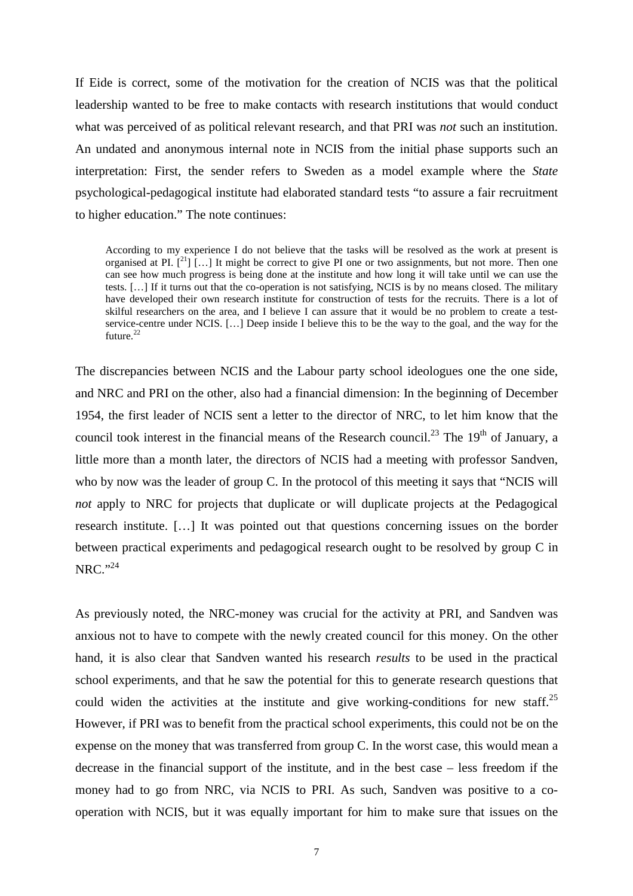If Eide is correct, some of the motivation for the creation of NCIS was that the political leadership wanted to be free to make contacts with research institutions that would conduct what was perceived of as political relevant research, and that PRI was *not* such an institution. An undated and anonymous internal note in NCIS from the initial phase supports such an interpretation: First, the sender refers to Sweden as a model example where the *State* psychological-pedagogical institute had elaborated standard tests "to assure a fair recruitment to higher education." The note continues:

According to my experience I do not believe that the tasks will be resolved as the work at present is organised at PI.  $\left[\begin{array}{c}2^{11} \end{array}\right]$  [...] It might be correct to give PI one or two assignments, but not more. Then one can see how much progress is being done at the institute and how long it will take until we can use the tests. […] If it turns out that the co-operation is not satisfying, NCIS is by no means closed. The military have developed their own research institute for construction of tests for the recruits. There is a lot of skilful researchers on the area, and I believe I can assure that it would be no problem to create a testservice-centre under NCIS. […] Deep inside I believe this to be the way to the goal, and the way for the future.<sup>[22](#page-13-0)</sup>

The discrepancies between NCIS and the Labour party school ideologues one the one side, and NRC and PRI on the other, also had a financial dimension: In the beginning of December 1954, the first leader of NCIS sent a letter to the director of NRC, to let him know that the council took interest in the financial means of the Research council.<sup>23</sup> The  $19<sup>th</sup>$  of January, a little more than a month later, the directors of NCIS had a meeting with professor Sandven, who by now was the leader of group C. In the protocol of this meeting it says that "NCIS will *not* apply to NRC for projects that duplicate or will duplicate projects at the Pedagogical research institute. […] It was pointed out that questions concerning issues on the border between practical experiments and pedagogical research ought to be resolved by group C in  $NRC.$ <sup>[24](#page-13-0)</sup>

As previously noted, the NRC-money was crucial for the activity at PRI, and Sandven was anxious not to have to compete with the newly created council for this money. On the other hand, it is also clear that Sandven wanted his research *results* to be used in the practical school experiments, and that he saw the potential for this to generate research questions that could widen the activities at the institute and give working-conditions for new staff.<sup>[25](#page-13-0)</sup> However, if PRI was to benefit from the practical school experiments, this could not be on the expense on the money that was transferred from group C. In the worst case, this would mean a decrease in the financial support of the institute, and in the best case – less freedom if the money had to go from NRC, via NCIS to PRI. As such, Sandven was positive to a cooperation with NCIS, but it was equally important for him to make sure that issues on the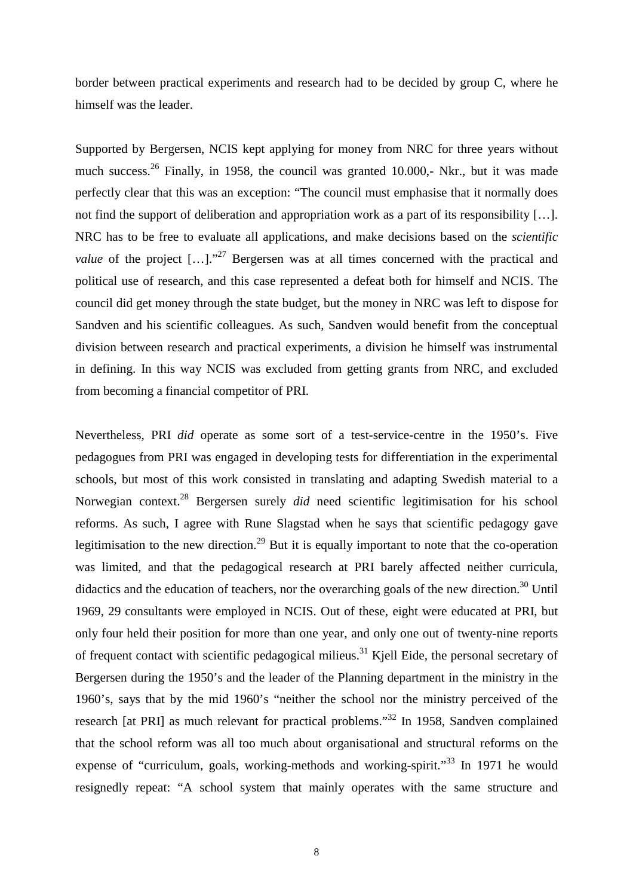border between practical experiments and research had to be decided by group C, where he himself was the leader.

Supported by Bergersen, NCIS kept applying for money from NRC for three years without much success.<sup>26</sup> Finally, in 1958, the council was granted 10.000,- Nkr., but it was made perfectly clear that this was an exception: "The council must emphasise that it normally does not find the support of deliberation and appropriation work as a part of its responsibility […]. NRC has to be free to evaluate all applications, and make decisions based on the *scientific value* of the project  $[...]$ ."<sup>27</sup> Bergersen was at all times concerned with the practical and political use of research, and this case represented a defeat both for himself and NCIS. The council did get money through the state budget, but the money in NRC was left to dispose for Sandven and his scientific colleagues. As such, Sandven would benefit from the conceptual division between research and practical experiments, a division he himself was instrumental in defining. In this way NCIS was excluded from getting grants from NRC, and excluded from becoming a financial competitor of PRI.

Nevertheless, PRI *did* operate as some sort of a test-service-centre in the 1950's. Five pedagogues from PRI was engaged in developing tests for differentiation in the experimental schools, but most of this work consisted in translating and adapting Swedish material to a Norwegian context[.28](#page-13-0) Bergersen surely *did* need scientific legitimisation for his school reforms. As such, I agree with Rune Slagstad when he says that scientific pedagogy gave legitimisation to the new direction.<sup>29</sup> But it is equally important to note that the co-operation was limited, and that the pedagogical research at PRI barely affected neither curricula, didactics and the education of teachers, nor the overarching goals of the new direction.<sup>30</sup> Until 1969, 29 consultants were employed in NCIS. Out of these, eight were educated at PRI, but only four held their position for more than one year, and only one out of twenty-nine reports of frequent contact with scientific pedagogical milieus.<sup>31</sup> Kjell Eide, the personal secretary of Bergersen during the 1950's and the leader of the Planning department in the ministry in the 1960's, says that by the mid 1960's "neither the school nor the ministry perceived of the research [at PRI] as much relevant for practical problems.["32](#page-13-0) In 1958, Sandven complained that the school reform was all too much about organisational and structural reforms on the expense of "curriculum, goals, working-methods and working-spirit."<sup>33</sup> In 1971 he would resignedly repeat: "A school system that mainly operates with the same structure and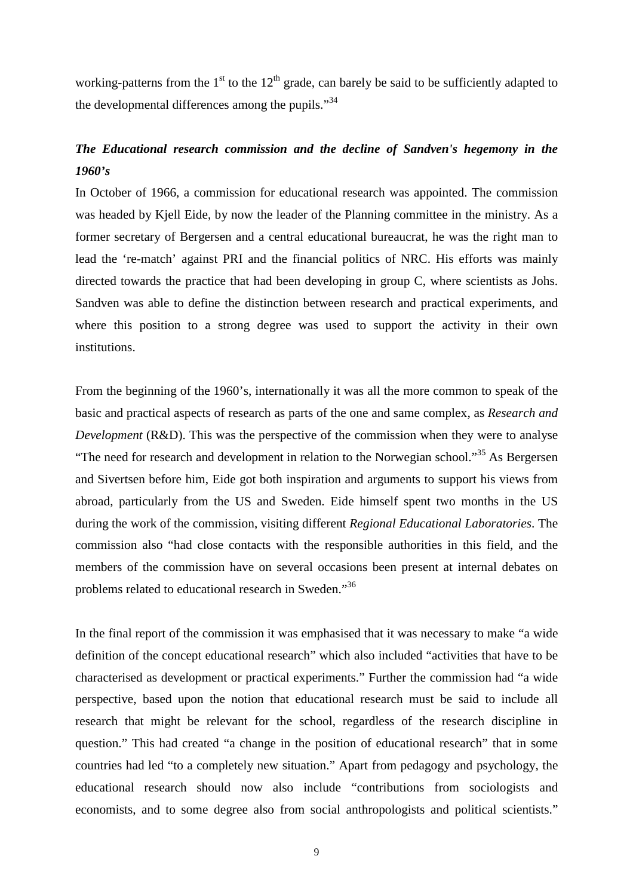working-patterns from the  $1<sup>st</sup>$  to the  $12<sup>th</sup>$  grade, can barely be said to be sufficiently adapted to the developmental differences among the pupils."<sup>[34](#page-13-0)</sup>

# *The Educational research commission and the decline of Sandven's hegemony in the 1960's*

In October of 1966, a commission for educational research was appointed. The commission was headed by Kjell Eide, by now the leader of the Planning committee in the ministry. As a former secretary of Bergersen and a central educational bureaucrat, he was the right man to lead the 're-match' against PRI and the financial politics of NRC. His efforts was mainly directed towards the practice that had been developing in group C, where scientists as Johs. Sandven was able to define the distinction between research and practical experiments, and where this position to a strong degree was used to support the activity in their own institutions.

From the beginning of the 1960's, internationally it was all the more common to speak of the basic and practical aspects of research as parts of the one and same complex, as *Research and Development* (R&D). This was the perspective of the commission when they were to analyse "The need for research and development in relation to the Norwegian school."<sup>35</sup> As Bergersen and Sivertsen before him, Eide got both inspiration and arguments to support his views from abroad, particularly from the US and Sweden. Eide himself spent two months in the US during the work of the commission, visiting different *Regional Educational Laboratories*. The commission also "had close contacts with the responsible authorities in this field, and the members of the commission have on several occasions been present at internal debates on problems related to educational research in Sweden.["36](#page-13-0)

In the final report of the commission it was emphasised that it was necessary to make "a wide definition of the concept educational research" which also included "activities that have to be characterised as development or practical experiments." Further the commission had "a wide perspective, based upon the notion that educational research must be said to include all research that might be relevant for the school, regardless of the research discipline in question." This had created "a change in the position of educational research" that in some countries had led "to a completely new situation." Apart from pedagogy and psychology, the educational research should now also include "contributions from sociologists and economists, and to some degree also from social anthropologists and political scientists."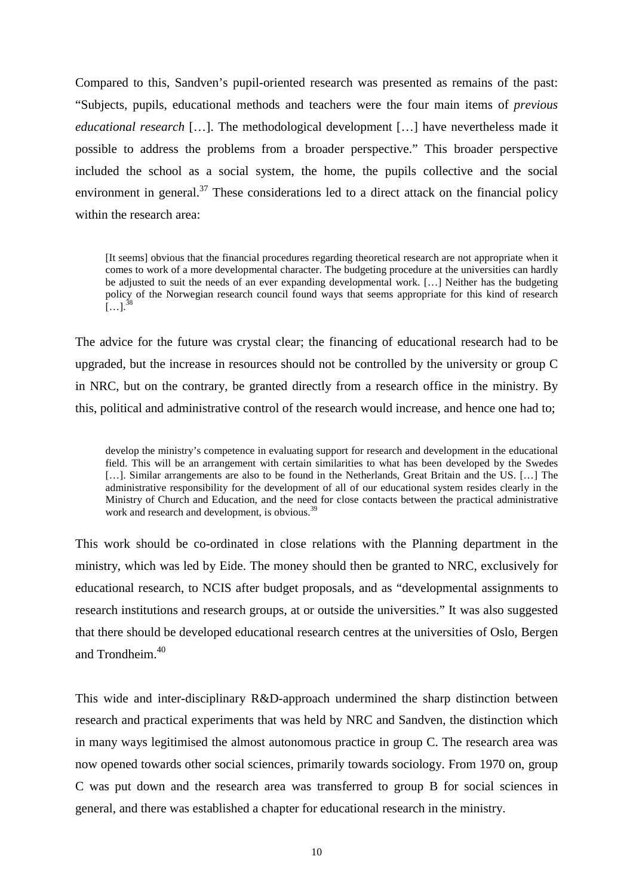Compared to this, Sandven's pupil-oriented research was presented as remains of the past: "Subjects, pupils, educational methods and teachers were the four main items of *previous educational research* […]. The methodological development […] have nevertheless made it possible to address the problems from a broader perspective." This broader perspective included the school as a social system, the home, the pupils collective and the social environment in general.<sup>37</sup> These considerations led to a direct attack on the financial policy within the research area:

[It seems] obvious that the financial procedures regarding theoretical research are not appropriate when it comes to work of a more developmental character. The budgeting procedure at the universities can hardly be adjusted to suit the needs of an ever expanding developmental work. […] Neither has the budgeting policy of the Norwegian research council found ways that seems appropriate for this kind of research  $[...]^{38}$  $[...]^{38}$  $[...]^{38}$ 

The advice for the future was crystal clear; the financing of educational research had to be upgraded, but the increase in resources should not be controlled by the university or group C in NRC, but on the contrary, be granted directly from a research office in the ministry. By this, political and administrative control of the research would increase, and hence one had to;

develop the ministry's competence in evaluating support for research and development in the educational field. This will be an arrangement with certain similarities to what has been developed by the Swedes [...]. Similar arrangements are also to be found in the Netherlands, Great Britain and the US. [...] The administrative responsibility for the development of all of our educational system resides clearly in the Ministry of Church and Education, and the need for close contacts between the practical administrative work and research and development, is obvious.<sup>[39](#page-13-0)</sup>

This work should be co-ordinated in close relations with the Planning department in the ministry, which was led by Eide. The money should then be granted to NRC, exclusively for educational research, to NCIS after budget proposals, and as "developmental assignments to research institutions and research groups, at or outside the universities." It was also suggested that there should be developed educational research centres at the universities of Oslo, Bergen and Trondheim.<sup>[40](#page-13-0)</sup>

This wide and inter-disciplinary R&D-approach undermined the sharp distinction between research and practical experiments that was held by NRC and Sandven, the distinction which in many ways legitimised the almost autonomous practice in group C. The research area was now opened towards other social sciences, primarily towards sociology. From 1970 on, group C was put down and the research area was transferred to group B for social sciences in general, and there was established a chapter for educational research in the ministry.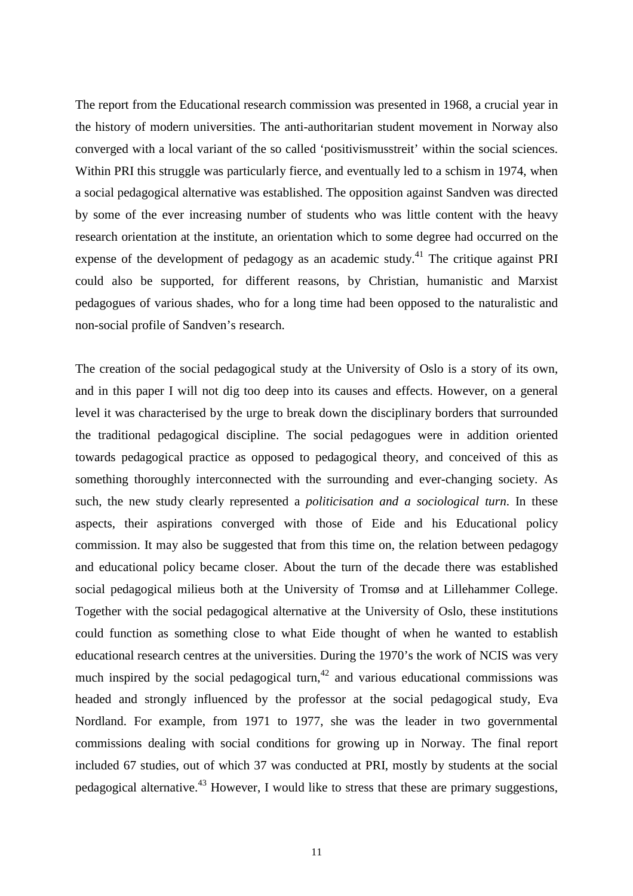The report from the Educational research commission was presented in 1968, a crucial year in the history of modern universities. The anti-authoritarian student movement in Norway also converged with a local variant of the so called 'positivismusstreit' within the social sciences. Within PRI this struggle was particularly fierce, and eventually led to a schism in 1974, when a social pedagogical alternative was established. The opposition against Sandven was directed by some of the ever increasing number of students who was little content with the heavy research orientation at the institute, an orientation which to some degree had occurred on the expense of the development of pedagogy as an academic study.<sup>41</sup> The critique against PRI could also be supported, for different reasons, by Christian, humanistic and Marxist pedagogues of various shades, who for a long time had been opposed to the naturalistic and non-social profile of Sandven's research.

The creation of the social pedagogical study at the University of Oslo is a story of its own, and in this paper I will not dig too deep into its causes and effects. However, on a general level it was characterised by the urge to break down the disciplinary borders that surrounded the traditional pedagogical discipline. The social pedagogues were in addition oriented towards pedagogical practice as opposed to pedagogical theory, and conceived of this as something thoroughly interconnected with the surrounding and ever-changing society. As such, the new study clearly represented a *politicisation and a sociological turn*. In these aspects, their aspirations converged with those of Eide and his Educational policy commission. It may also be suggested that from this time on, the relation between pedagogy and educational policy became closer. About the turn of the decade there was established social pedagogical milieus both at the University of Tromsø and at Lillehammer College. Together with the social pedagogical alternative at the University of Oslo, these institutions could function as something close to what Eide thought of when he wanted to establish educational research centres at the universities. During the 1970's the work of NCIS was very much inspired by the social pedagogical turn,<sup>42</sup> and various educational commissions was headed and strongly influenced by the professor at the social pedagogical study, Eva Nordland. For example, from 1971 to 1977, she was the leader in two governmental commissions dealing with social conditions for growing up in Norway. The final report included 67 studies, out of which 37 was conducted at PRI, mostly by students at the social pedagogical alternative.<sup>43</sup> However, I would like to stress that these are primary suggestions,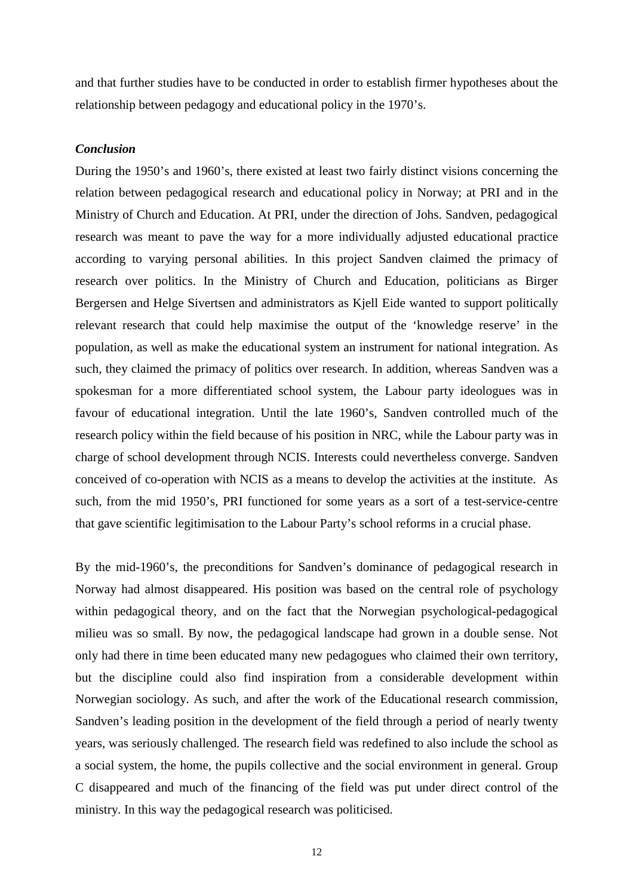and that further studies have to be conducted in order to establish firmer hypotheses about the relationship between pedagogy and educational policy in the 1970's.

#### *Conclusion*

During the 1950's and 1960's, there existed at least two fairly distinct visions concerning the relation between pedagogical research and educational policy in Norway; at PRI and in the Ministry of Church and Education. At PRI, under the direction of Johs. Sandven, pedagogical research was meant to pave the way for a more individually adjusted educational practice according to varying personal abilities. In this project Sandven claimed the primacy of research over politics. In the Ministry of Church and Education, politicians as Birger Bergersen and Helge Sivertsen and administrators as Kjell Eide wanted to support politically relevant research that could help maximise the output of the 'knowledge reserve' in the population, as well as make the educational system an instrument for national integration. As such, they claimed the primacy of politics over research. In addition, whereas Sandven was a spokesman for a more differentiated school system, the Labour party ideologues was in favour of educational integration. Until the late 1960's, Sandven controlled much of the research policy within the field because of his position in NRC, while the Labour party was in charge of school development through NCIS. Interests could nevertheless converge. Sandven conceived of co-operation with NCIS as a means to develop the activities at the institute. As such, from the mid 1950's, PRI functioned for some years as a sort of a test-service-centre that gave scientific legitimisation to the Labour Party's school reforms in a crucial phase.

By the mid-1960's, the preconditions for Sandven's dominance of pedagogical research in Norway had almost disappeared. His position was based on the central role of psychology within pedagogical theory, and on the fact that the Norwegian psychological-pedagogical milieu was so small. By now, the pedagogical landscape had grown in a double sense. Not only had there in time been educated many new pedagogues who claimed their own territory, but the discipline could also find inspiration from a considerable development within Norwegian sociology. As such, and after the work of the Educational research commission, Sandven's leading position in the development of the field through a period of nearly twenty years, was seriously challenged. The research field was redefined to also include the school as a social system, the home, the pupils collective and the social environment in general. Group C disappeared and much of the financing of the field was put under direct control of the ministry. In this way the pedagogical research was politicised.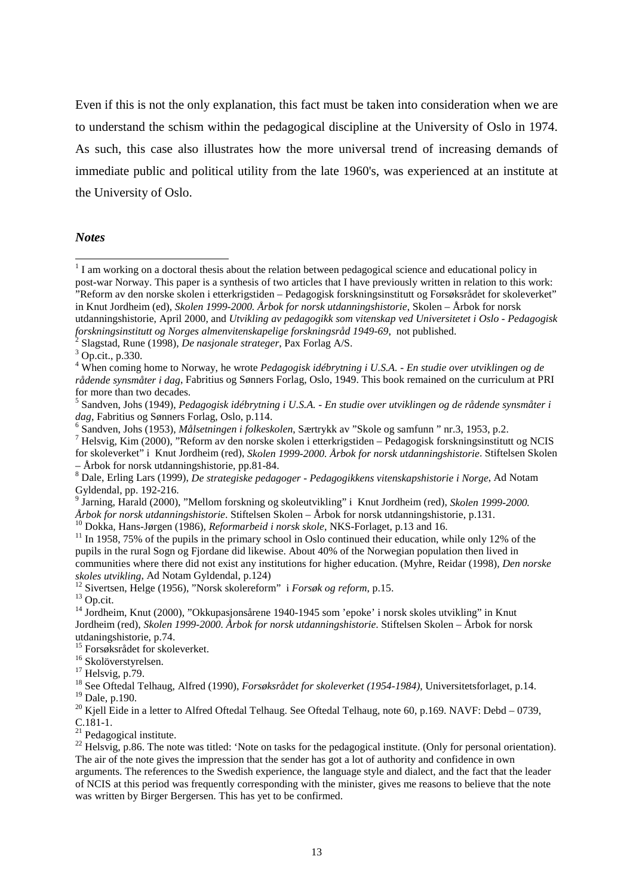Even if this is not the only explanation, this fact must be taken into consideration when we are to understand the schism within the pedagogical discipline at the University of Oslo in 1974. As such, this case also illustrates how the more universal trend of increasing demands of immediate public and political utility from the late 1960's, was experienced at an institute at the University of Oslo.

#### *Notes*

l

<sup>12</sup> Sivertsen, Helge (1956), "Norsk skolereform" i *Forsøk og reform*, p.15. <sup>13</sup> Op.cit.

15 Forsøksrådet for skoleverket.

<sup>17</sup> Helsvig, p.79.

18 See Oftedal Telhaug, Alfred (1990), *Forsøksrådet for skoleverket (1954-1984),* Universitetsforlaget, p.14. 19 Dale, p.190.

<sup>20</sup> Kjell Eide in a letter to Alfred Oftedal Telhaug. See Oftedal Telhaug, note 60, p.169. NAVF: Debd – 0739, C.181-1.

 $21$  Pedagogical institute.

<sup>22</sup> Helsvig, p.86. The note was titled: 'Note on tasks for the pedagogical institute. (Only for personal orientation). The air of the note gives the impression that the sender has got a lot of authority and confidence in own arguments. The references to the Swedish experience, the language style and dialect, and the fact that the leader of NCIS at this period was frequently corresponding with the minister, gives me reasons to believe that the note was written by Birger Bergersen. This has yet to be confirmed.

<sup>&</sup>lt;sup>1</sup> I am working on a doctoral thesis about the relation between pedagogical science and educational policy in post-war Norway. This paper is a synthesis of two articles that I have previously written in relation to this work: "Reform av den norske skolen i etterkrigstiden – Pedagogisk forskningsinstitutt og Forsøksrådet for skoleverket" in Knut Jordheim (ed), *Skolen 1999-2000. Årbok for norsk utdanningshistorie*, Skolen – Årbok for norsk utdanningshistorie, April 2000, and *Utvikling av pedagogikk som vitenskap ved Universitetet i Oslo* - *Pedagogisk forskningsinstitutt og Norges almenvitenskapelige forskningsråd 1949-69*, not published. <sup>2</sup>

 $\frac{3}{2}$  Slagstad, Rune (1998), *De nasjonale strateger*, Pax Forlag A/S.

Op.cit., p.330.

<sup>4</sup> When coming home to Norway, he wrote *Pedagogisk idébrytning i U.S.A. - En studie over utviklingen og de rådende synsmåter i dag*, Fabritius og Sønners Forlag, Oslo, 1949. This book remained on the curriculum at PRI for more than two decades.

<sup>5</sup> Sandven, Johs (1949), *Pedagogisk idébrytning i U.S.A. - En studie over utviklingen og de rådende synsmåter i* dag, Fabritius og Sønners Forlag, Oslo, p.114.

Sandven, Johs (1953), *Målsetningen i folkeskolen*, Særtrykk av "Skole og samfunn " nr.3, 1953, p.2. <sup>7</sup>

Helsvig, Kim (2000), "Reform av den norske skolen i etterkrigstiden – Pedagogisk forskningsinstitutt og NCIS for skoleverket" i Knut Jordheim (red), *Skolen 1999-2000. Årbok for norsk utdanningshistorie*. Stiftelsen Skolen – Årbok for norsk utdanningshistorie, pp.81-84.

<sup>8</sup> Dale, Erling Lars (1999), *De strategiske pedagoger - Pedagogikkens vitenskapshistorie i Norge*, Ad Notam Gyldendal, pp. 192-216.<br><sup>9</sup> Jerning Herald (2000).

Jarning, Harald (2000), "Mellom forskning og skoleutvikling" i Knut Jordheim (red), *Skolen 1999-2000. Årbok for norsk utdanningshistorie.* Stiftelsen Skolen – Årbok for norsk utdanningshistorie, p.131.<br><sup>10</sup> Dokka, Hans-Jørgen (1986), *Reformarbeid i norsk skole*, NKS-Forlaget, p.13 and 16.<br><sup>11</sup> In 1958, 75% of the pupils

pupils in the rural Sogn og Fjordane did likewise. About 40% of the Norwegian population then lived in communities where there did not exist any institutions for higher education. (Myhre, Reidar (1998), *Den norske*

<sup>&</sup>lt;sup>14</sup> Jordheim, Knut (2000), "Okkupasjonsårene 1940-1945 som 'epoke' i norsk skoles utvikling" in Knut Jordheim (red), *Skolen 1999-2000. Årbok for norsk utdanningshistorie*. Stiftelsen Skolen – Årbok for norsk utdaningshistorie, p.74.

<sup>&</sup>lt;sup>16</sup> Skolöverstyrelsen.